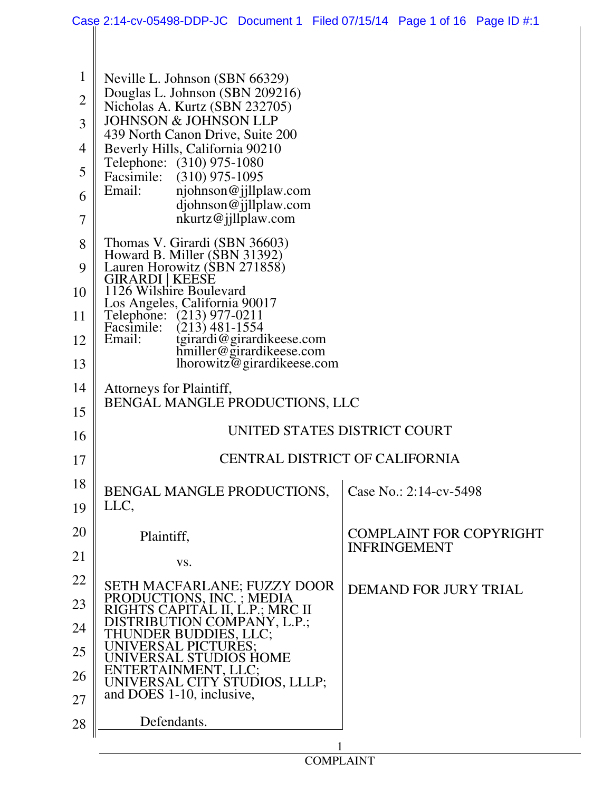|                | Case 2:14-cv-05498-DDP-JC Document 1 Filed 07/15/14 Page 1 of 16 Page ID #:1                      |  |                                |  |  |  |
|----------------|---------------------------------------------------------------------------------------------------|--|--------------------------------|--|--|--|
|                |                                                                                                   |  |                                |  |  |  |
| $\mathbf{1}$   | Neville L. Johnson (SBN 66329)                                                                    |  |                                |  |  |  |
| $\overline{2}$ | Douglas L. Johnson (SBN 209216)                                                                   |  |                                |  |  |  |
| 3              | Nicholas A. Kurtz (SBN 232705)<br><b>JOHNSON &amp; JOHNSON LLP</b>                                |  |                                |  |  |  |
| $\overline{4}$ | 439 North Canon Drive, Suite 200<br>Beverly Hills, California 90210                               |  |                                |  |  |  |
| 5              | Telephone: (310) 975-1080<br>Facsimile: (310) 975-1095                                            |  |                                |  |  |  |
| 6              | Email:<br>njohnson@jjllplaw.com                                                                   |  |                                |  |  |  |
| $\overline{7}$ | djohnson@jjllplaw.com<br>nkurtz@jillplaw.com                                                      |  |                                |  |  |  |
| 8              | Thomas V. Girardi (SBN 36603)                                                                     |  |                                |  |  |  |
| 9              | Howard B. Miller (SBN 31392)<br>Lauren Horowitz (SBN 271858)                                      |  |                                |  |  |  |
| 10             | GIRARDI   KEESE<br>1126 Wilshire Boulevard                                                        |  |                                |  |  |  |
| 11             | Los Angeles, California 90017<br>Telephone: (213) 977-0211                                        |  |                                |  |  |  |
| 12             | $(213)$ 481-1554<br>Facsimile:<br>tgirardi@girardikeese.com<br>hmiller@girardikeese.com<br>Email: |  |                                |  |  |  |
| 13             | lhorowitz@girardikeese.com                                                                        |  |                                |  |  |  |
| 14<br>15       | Attorneys for Plaintiff,<br>BENGAL MANGLE PRODUCTIONS, LLC                                        |  |                                |  |  |  |
| 16             | UNITED STATES DISTRICT COURT                                                                      |  |                                |  |  |  |
| 17             | CENTRAL DISTRICT OF CALIFORNIA                                                                    |  |                                |  |  |  |
| 18             | BENGAL MANGLE PRODUCTIONS,                                                                        |  | Case No.: 2:14-cv-5498         |  |  |  |
| 19             | LLC,                                                                                              |  |                                |  |  |  |
| 20             | Plaintiff,                                                                                        |  | <b>COMPLAINT FOR COPYRIGHT</b> |  |  |  |
| 21             | VS.                                                                                               |  | <b>INFRINGEMENT</b>            |  |  |  |
| 22             | SETH MACFARLANE; FUZZY DOOR                                                                       |  | <b>DEMAND FOR JURY TRIAL</b>   |  |  |  |
| 23             | PRODUCTIONS, INC.; MEDIA<br>RIGHTS CAPITAL II, L.P.; MRC II                                       |  |                                |  |  |  |
| 24             | DISTRIBUTION COMPANY, L.P.;<br>THUNDER BUDDIES, LLC;                                              |  |                                |  |  |  |
| 25             | UNIVERSAL PICTURES:<br>UNIVERSAL STUDIOS HOME                                                     |  |                                |  |  |  |
| 26<br>27       | ENTERTAINMENT, LLC;<br>UNIVERSAL CITY STUDIOS, LLLP;<br>and DOES 1-10, inclusive,                 |  |                                |  |  |  |
| 28             | Defendants.                                                                                       |  |                                |  |  |  |
|                |                                                                                                   |  |                                |  |  |  |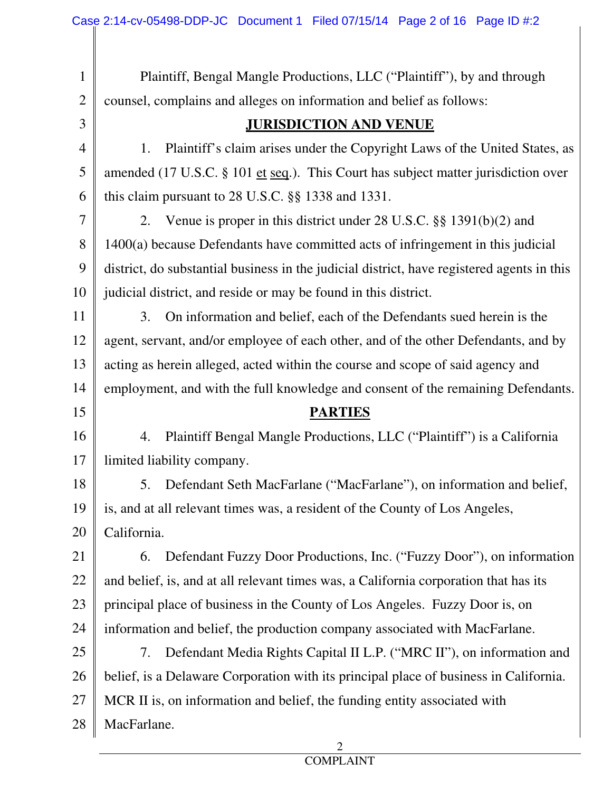| $\mathbf{1}$   | Plaintiff, Bengal Mangle Productions, LLC ("Plaintiff"), by and through                    |  |  |  |
|----------------|--------------------------------------------------------------------------------------------|--|--|--|
| $\overline{2}$ | counsel, complains and alleges on information and belief as follows:                       |  |  |  |
| 3              | <b>JURISDICTION AND VENUE</b>                                                              |  |  |  |
| $\overline{4}$ | 1.<br>Plaintiff's claim arises under the Copyright Laws of the United States, as           |  |  |  |
| 5              | amended (17 U.S.C. § 101 et seq.). This Court has subject matter jurisdiction over         |  |  |  |
| 6              | this claim pursuant to $28$ U.S.C. $\S$ $\S$ 1338 and 1331.                                |  |  |  |
| $\overline{7}$ | Venue is proper in this district under 28 U.S.C. $\S$ 1391(b)(2) and<br>2.                 |  |  |  |
| 8              | $1400(a)$ because Defendants have committed acts of infringement in this judicial          |  |  |  |
| 9              | district, do substantial business in the judicial district, have registered agents in this |  |  |  |
| 10             | judicial district, and reside or may be found in this district.                            |  |  |  |
| 11             | On information and belief, each of the Defendants sued herein is the<br>3.                 |  |  |  |
| 12             | agent, servant, and/or employee of each other, and of the other Defendants, and by         |  |  |  |
| 13             | acting as herein alleged, acted within the course and scope of said agency and             |  |  |  |
| 14             | employment, and with the full knowledge and consent of the remaining Defendants.           |  |  |  |
|                | <b>PARTIES</b>                                                                             |  |  |  |
| 15             |                                                                                            |  |  |  |
| 16             | Plaintiff Bengal Mangle Productions, LLC ("Plaintiff") is a California<br>4.               |  |  |  |
| 17             | limited liability company.                                                                 |  |  |  |
| 18             | Defendant Seth MacFarlane ("MacFarlane"), on information and belief,<br>5.                 |  |  |  |
| 19             | is, and at all relevant times was, a resident of the County of Los Angeles,                |  |  |  |
| 20             | California.                                                                                |  |  |  |
| 21             | Defendant Fuzzy Door Productions, Inc. ("Fuzzy Door"), on information<br>6.                |  |  |  |
| 22             | and belief, is, and at all relevant times was, a California corporation that has its       |  |  |  |
| 23             | principal place of business in the County of Los Angeles. Fuzzy Door is, on                |  |  |  |
| 24             | information and belief, the production company associated with MacFarlane.                 |  |  |  |
| 25             | Defendant Media Rights Capital II L.P. ("MRC II"), on information and<br>7.                |  |  |  |
| 26             | belief, is a Delaware Corporation with its principal place of business in California.      |  |  |  |
| 27             | MCR II is, on information and belief, the funding entity associated with                   |  |  |  |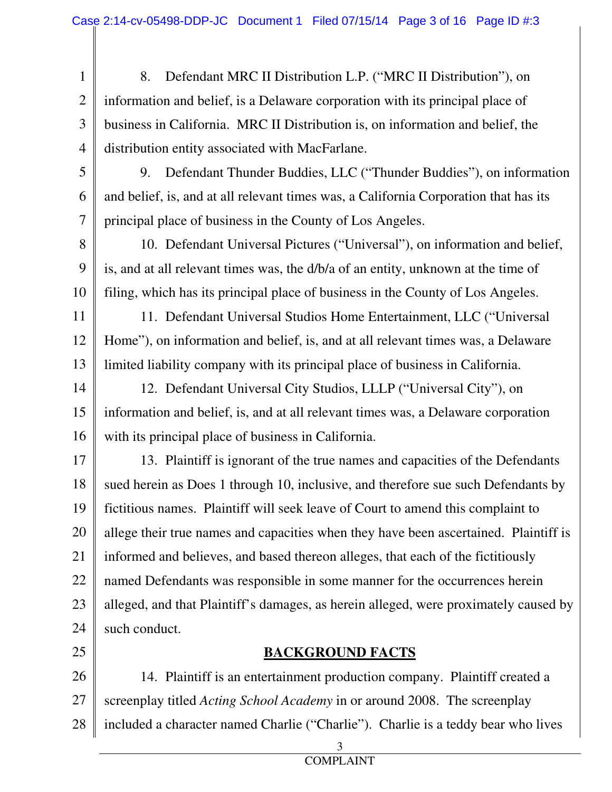- 1 2 3 4 8. Defendant MRC II Distribution L.P. ("MRC II Distribution"), on information and belief, is a Delaware corporation with its principal place of business in California. MRC II Distribution is, on information and belief, the distribution entity associated with MacFarlane.
- 5 6 7 9. Defendant Thunder Buddies, LLC ("Thunder Buddies"), on information and belief, is, and at all relevant times was, a California Corporation that has its principal place of business in the County of Los Angeles.
- 8 9 10 10. Defendant Universal Pictures ("Universal"), on information and belief, is, and at all relevant times was, the d/b/a of an entity, unknown at the time of filing, which has its principal place of business in the County of Los Angeles.
- 11 12 13 11. Defendant Universal Studios Home Entertainment, LLC ("Universal Home"), on information and belief, is, and at all relevant times was, a Delaware limited liability company with its principal place of business in California.
- 14 15 16 12. Defendant Universal City Studios, LLLP ("Universal City"), on information and belief, is, and at all relevant times was, a Delaware corporation with its principal place of business in California.
- 17 18 19 20 21 22 23 24 13. Plaintiff is ignorant of the true names and capacities of the Defendants sued herein as Does 1 through 10, inclusive, and therefore sue such Defendants by fictitious names. Plaintiff will seek leave of Court to amend this complaint to allege their true names and capacities when they have been ascertained. Plaintiff is informed and believes, and based thereon alleges, that each of the fictitiously named Defendants was responsible in some manner for the occurrences herein alleged, and that Plaintiff's damages, as herein alleged, were proximately caused by such conduct.
- 25

## **BACKGROUND FACTS**

26 27 28 14. Plaintiff is an entertainment production company. Plaintiff created a screenplay titled *Acting School Academy* in or around 2008. The screenplay included a character named Charlie ("Charlie"). Charlie is a teddy bear who lives

3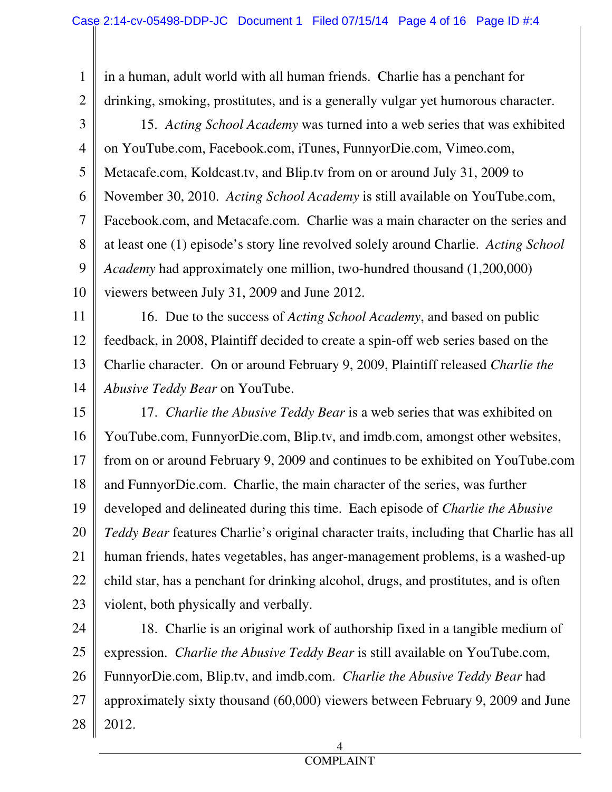1 2 in a human, adult world with all human friends. Charlie has a penchant for drinking, smoking, prostitutes, and is a generally vulgar yet humorous character.

3

4 5 6 7 8 9 10 15. *Acting School Academy* was turned into a web series that was exhibited on YouTube.com, Facebook.com, iTunes, FunnyorDie.com, Vimeo.com, Metacafe.com, Koldcast.tv, and Blip.tv from on or around July 31, 2009 to November 30, 2010. *Acting School Academy* is still available on YouTube.com, Facebook.com, and Metacafe.com. Charlie was a main character on the series and at least one (1) episode's story line revolved solely around Charlie. *Acting School Academy* had approximately one million, two-hundred thousand (1,200,000) viewers between July 31, 2009 and June 2012.

11

12 13 16. Due to the success of *Acting School Academy*, and based on public feedback, in 2008, Plaintiff decided to create a spin-off web series based on the Charlie character. On or around February 9, 2009, Plaintiff released *Charlie the Abusive Teddy Bear* on YouTube.

14

15 16 17 18 19 20 21 22 23 17. *Charlie the Abusive Teddy Bear* is a web series that was exhibited on YouTube.com, FunnyorDie.com, Blip.tv, and imdb.com, amongst other websites, from on or around February 9, 2009 and continues to be exhibited on YouTube.com and FunnyorDie.com. Charlie, the main character of the series, was further developed and delineated during this time. Each episode of *Charlie the Abusive Teddy Bear* features Charlie's original character traits, including that Charlie has all human friends, hates vegetables, has anger-management problems, is a washed-up child star, has a penchant for drinking alcohol, drugs, and prostitutes, and is often violent, both physically and verbally.

24 25 26 27 28 18. Charlie is an original work of authorship fixed in a tangible medium of expression. *Charlie the Abusive Teddy Bear* is still available on YouTube.com, FunnyorDie.com, Blip.tv, and imdb.com. *Charlie the Abusive Teddy Bear* had approximately sixty thousand (60,000) viewers between February 9, 2009 and June 2012.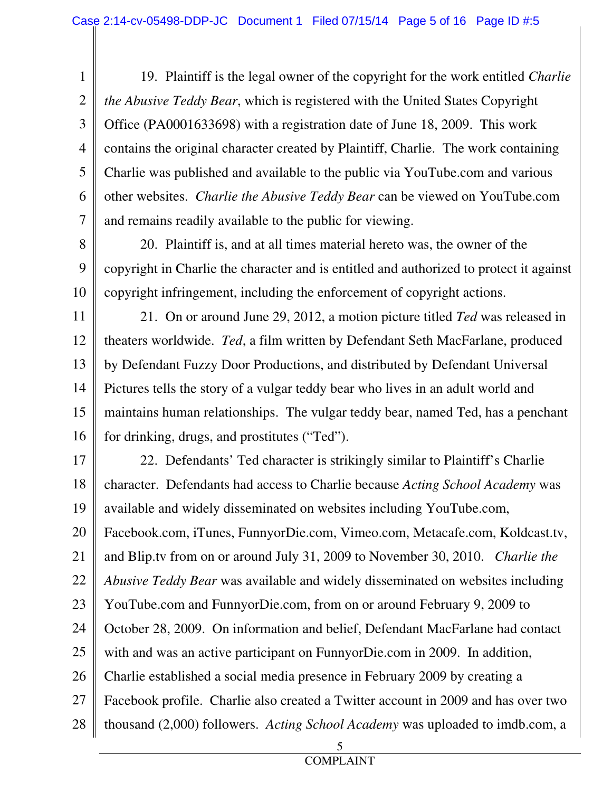1 2 3 4 5 6 7 19. Plaintiff is the legal owner of the copyright for the work entitled *Charlie the Abusive Teddy Bear*, which is registered with the United States Copyright Office (PA0001633698) with a registration date of June 18, 2009. This work contains the original character created by Plaintiff, Charlie. The work containing Charlie was published and available to the public via YouTube.com and various other websites. *Charlie the Abusive Teddy Bear* can be viewed on YouTube.com and remains readily available to the public for viewing.

8

9 10

20. Plaintiff is, and at all times material hereto was, the owner of the copyright in Charlie the character and is entitled and authorized to protect it against copyright infringement, including the enforcement of copyright actions.

11 12 13 14 15 16 21. On or around June 29, 2012, a motion picture titled *Ted* was released in theaters worldwide. *Ted*, a film written by Defendant Seth MacFarlane, produced by Defendant Fuzzy Door Productions, and distributed by Defendant Universal Pictures tells the story of a vulgar teddy bear who lives in an adult world and maintains human relationships. The vulgar teddy bear, named Ted, has a penchant for drinking, drugs, and prostitutes ("Ted").

17 18 19 20 21 22 23 24 25 26 27 28 22. Defendants' Ted character is strikingly similar to Plaintiff's Charlie character. Defendants had access to Charlie because *Acting School Academy* was available and widely disseminated on websites including YouTube.com, Facebook.com, iTunes, FunnyorDie.com, Vimeo.com, Metacafe.com, Koldcast.tv, and Blip.tv from on or around July 31, 2009 to November 30, 2010. *Charlie the Abusive Teddy Bear* was available and widely disseminated on websites including YouTube.com and FunnyorDie.com, from on or around February 9, 2009 to October 28, 2009. On information and belief, Defendant MacFarlane had contact with and was an active participant on FunnyorDie.com in 2009. In addition, Charlie established a social media presence in February 2009 by creating a Facebook profile. Charlie also created a Twitter account in 2009 and has over two thousand (2,000) followers. *Acting School Academy* was uploaded to imdb.com, a

 $\sim$  5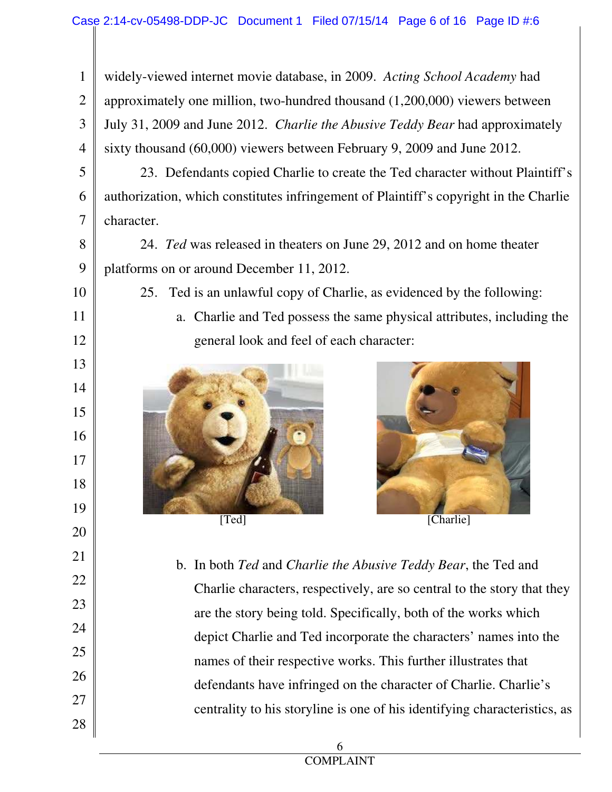1 2 3 4 widely-viewed internet movie database, in 2009. *Acting School Academy* had approximately one million, two-hundred thousand (1,200,000) viewers between July 31, 2009 and June 2012. *Charlie the Abusive Teddy Bear* had approximately sixty thousand (60,000) viewers between February 9, 2009 and June 2012.

5 6 7 23. Defendants copied Charlie to create the Ted character without Plaintiff's authorization, which constitutes infringement of Plaintiff's copyright in the Charlie character.

8

9

10

11

12

13

14

15

16

17

18

19

20

21

22

23

24

25

26

27

24. *Ted* was released in theaters on June 29, 2012 and on home theater platforms on or around December 11, 2012.

25. Ted is an unlawful copy of Charlie, as evidenced by the following:

a. Charlie and Ted possess the same physical attributes, including the general look and feel of each character:







b. In both *Ted* and *Charlie the Abusive Teddy Bear*, the Ted and Charlie characters, respectively, are so central to the story that they are the story being told. Specifically, both of the works which depict Charlie and Ted incorporate the characters' names into the names of their respective works. This further illustrates that defendants have infringed on the character of Charlie. Charlie's centrality to his storyline is one of his identifying characteristics, as

28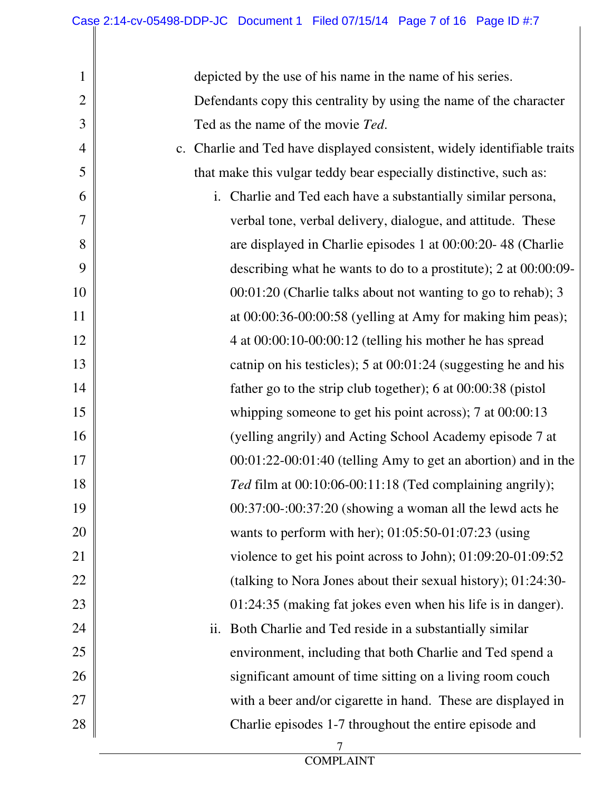| $\mathbf 1$    | depicted by the use of his name in the name of his series.               |  |  |  |
|----------------|--------------------------------------------------------------------------|--|--|--|
| $\overline{2}$ | Defendants copy this centrality by using the name of the character       |  |  |  |
| 3              | Ted as the name of the movie Ted.                                        |  |  |  |
| $\overline{4}$ | c. Charlie and Ted have displayed consistent, widely identifiable traits |  |  |  |
| 5              | that make this vulgar teddy bear especially distinctive, such as:        |  |  |  |
| 6              | i. Charlie and Ted each have a substantially similar persona,            |  |  |  |
| 7              | verbal tone, verbal delivery, dialogue, and attitude. These              |  |  |  |
| 8              | are displayed in Charlie episodes 1 at 00:00:20-48 (Charlie              |  |  |  |
| 9              | describing what he wants to do to a prostitute); 2 at 00:00:09-          |  |  |  |
| 10             | 00:01:20 (Charlie talks about not wanting to go to rehab); 3             |  |  |  |
| 11             | at $00:00:36-00:00:58$ (yelling at Amy for making him peas);             |  |  |  |
| 12             | 4 at 00:00:10-00:00:12 (telling his mother he has spread                 |  |  |  |
| 13             | catnip on his testicles); $5$ at $00:01:24$ (suggesting he and his       |  |  |  |
| 14             | father go to the strip club together); 6 at $00:00:38$ (pistol)          |  |  |  |
| 15             | whipping someone to get his point across); $7$ at $00:00:13$             |  |  |  |
| 16             | (yelling angrily) and Acting School Academy episode 7 at                 |  |  |  |
| 17             | $00:01:22-00:01:40$ (telling Amy to get an abortion) and in the          |  |  |  |
| 18             | Ted film at 00:10:06-00:11:18 (Ted complaining angrily);                 |  |  |  |
| 19             | 00:37:00-:00:37:20 (showing a woman all the lewd acts he                 |  |  |  |
| 20             | wants to perform with her); $01:05:50-01:07:23$ (using                   |  |  |  |
| 21             | violence to get his point across to John); 01:09:20-01:09:52             |  |  |  |
| 22             | (talking to Nora Jones about their sexual history); 01:24:30-            |  |  |  |
| 23             | 01:24:35 (making fat jokes even when his life is in danger).             |  |  |  |
| 24             | ii. Both Charlie and Ted reside in a substantially similar               |  |  |  |
| 25             | environment, including that both Charlie and Ted spend a                 |  |  |  |
| 26             | significant amount of time sitting on a living room couch                |  |  |  |
| 27             | with a beer and/or cigarette in hand. These are displayed in             |  |  |  |
| 28             | Charlie episodes 1-7 throughout the entire episode and                   |  |  |  |
|                |                                                                          |  |  |  |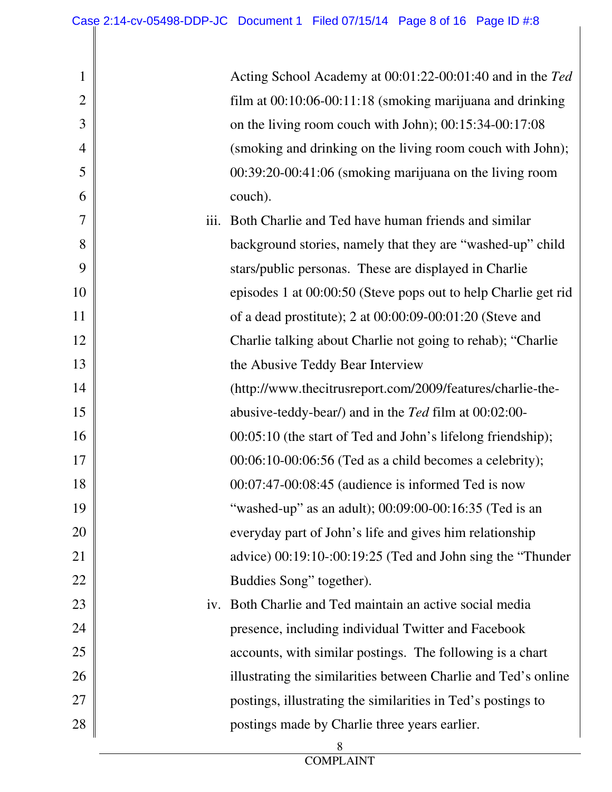1

2

3

4

5

6

7

8

9

10

11

12

13

14

15

16

17

18

19

20

21

22

23

24

25

26

27

28

|      | Acting School Academy at 00:01:22-00:01:40 and in the Ted      |
|------|----------------------------------------------------------------|
|      | film at $00:10:06-00:11:18$ (smoking marijuana and drinking    |
|      | on the living room couch with John); 00:15:34-00:17:08         |
|      | (smoking and drinking on the living room couch with John);     |
|      | $00:39:20-00:41:06$ (smoking marijuana on the living room      |
|      | couch).                                                        |
| iii. | Both Charlie and Ted have human friends and similar            |
|      | background stories, namely that they are "washed-up" child     |
|      | stars/public personas. These are displayed in Charlie          |
|      | episodes 1 at 00:00:50 (Steve pops out to help Charlie get rid |
|      | of a dead prostitute); 2 at 00:00:09-00:01:20 (Steve and       |
|      | Charlie talking about Charlie not going to rehab); "Charlie    |
|      | the Abusive Teddy Bear Interview                               |
|      | (http://www.thecitrusreport.com/2009/features/charlie-the-     |
|      | abusive-teddy-bear/) and in the Ted film at 00:02:00-          |
|      | 00:05:10 (the start of Ted and John's lifelong friendship);    |
|      | $00:06:10-00:06:56$ (Ted as a child becomes a celebrity);      |
|      | $00:07:47-00:08:45$ (audience is informed Ted is now           |
|      | "washed-up" as an adult); 00:09:00-00:16:35 (Ted is an         |
|      | everyday part of John's life and gives him relationship        |
|      | advice) 00:19:10-:00:19:25 (Ted and John sing the "Thunder     |
|      | Buddies Song" together).                                       |
|      | iv. Both Charlie and Ted maintain an active social media       |
|      | presence, including individual Twitter and Facebook            |
|      | ecounts with similar postings. The following is a short        |

accounts, with similar postings. The following is a chart illustrating the similarities between Charlie and Ted's online postings, illustrating the similarities in Ted's postings to postings made by Charlie three years earlier.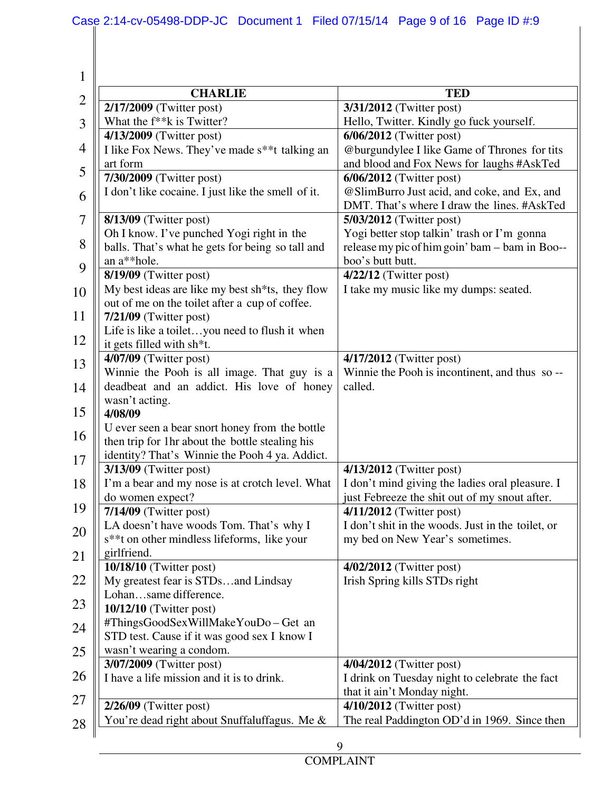| $\mathbf 1$    |                                                                       |                                                                                 |  |  |
|----------------|-----------------------------------------------------------------------|---------------------------------------------------------------------------------|--|--|
| $\overline{2}$ | <b>CHARLIE</b>                                                        | <b>TED</b>                                                                      |  |  |
|                | 2/17/2009 (Twitter post)                                              | 3/31/2012 (Twitter post)                                                        |  |  |
| 3              | What the f <sup>**</sup> k is Twitter?                                | Hello, Twitter. Kindly go fuck yourself.                                        |  |  |
|                | 4/13/2009 (Twitter post)                                              | $6/06/2012$ (Twitter post)                                                      |  |  |
| 4              | I like Fox News. They've made s <sup>**</sup> t talking an            | @burgundylee I like Game of Thrones for tits                                    |  |  |
| 5              | art form                                                              | and blood and Fox News for laughs #AskTed                                       |  |  |
|                | 7/30/2009 (Twitter post)                                              | $6/06/2012$ (Twitter post)<br>@SlimBurro Just acid, and coke, and Ex, and       |  |  |
| 6              | I don't like cocaine. I just like the smell of it.                    | DMT. That's where I draw the lines. #AskTed                                     |  |  |
| 7              | $8/13/09$ (Twitter post)                                              | 5/03/2012 (Twitter post)                                                        |  |  |
|                | Oh I know. I've punched Yogi right in the                             | Yogi better stop talkin' trash or I'm gonna                                     |  |  |
| 8              | balls. That's what he gets for being so tall and                      | release my pic of him goin' bam - bam in Boo--                                  |  |  |
|                | an a**hole.                                                           | boo's butt butt.                                                                |  |  |
| 9              | 8/19/09 (Twitter post)                                                | $4/22/12$ (Twitter post)                                                        |  |  |
| 10             | My best ideas are like my best sh*ts, they flow                       | I take my music like my dumps: seated.                                          |  |  |
|                | out of me on the toilet after a cup of coffee.                        |                                                                                 |  |  |
| 11             | $7/21/09$ (Twitter post)                                              |                                                                                 |  |  |
| 12             | Life is like a toiletyou need to flush it when                        |                                                                                 |  |  |
|                | it gets filled with sh*t.                                             |                                                                                 |  |  |
| 13             | 4/07/09 (Twitter post)<br>Winnie the Pooh is all image. That guy is a | 4/17/2012 (Twitter post)<br>Winnie the Pooh is incontinent, and thus so-        |  |  |
| 14             | deadbeat and an addict. His love of honey                             | called.                                                                         |  |  |
|                | wasn't acting.                                                        |                                                                                 |  |  |
| 15             | 4/08/09                                                               |                                                                                 |  |  |
|                | U ever seen a bear snort honey from the bottle                        |                                                                                 |  |  |
| 16             | then trip for 1hr about the bottle stealing his                       |                                                                                 |  |  |
| 17             | identity? That's Winnie the Pooh 4 ya. Addict.                        |                                                                                 |  |  |
|                | $3/13/09$ (Twitter post)                                              | 4/13/2012 (Twitter post)                                                        |  |  |
| 18             | I'm a bear and my nose is at crotch level. What                       | I don't mind giving the ladies oral pleasure. I                                 |  |  |
| 19             | do women expect?                                                      | just Febreeze the shit out of my snout after.                                   |  |  |
|                | $7/14/09$ (Twitter post)<br>LA doesn't have woods Tom. That's why I   | $4/11/2012$ (Twitter post)<br>I don't shit in the woods. Just in the toilet, or |  |  |
| 20             | s**t on other mindless lifeforms, like your                           | my bed on New Year's sometimes.                                                 |  |  |
|                | girlfriend.                                                           |                                                                                 |  |  |
| 21             | 10/18/10 (Twitter post)                                               | 4/02/2012 (Twitter post)                                                        |  |  |
| 22             | My greatest fear is STDsand Lindsay                                   | Irish Spring kills STDs right                                                   |  |  |
|                | Lohansame difference.                                                 |                                                                                 |  |  |
| 23             | $10/12/10$ (Twitter post)                                             |                                                                                 |  |  |
| 24             | #ThingsGoodSexWillMakeYouDo-Get an                                    |                                                                                 |  |  |
|                | STD test. Cause if it was good sex I know I                           |                                                                                 |  |  |
| 25             | wasn't wearing a condom.                                              |                                                                                 |  |  |
| 26             | 3/07/2009 (Twitter post)<br>I have a life mission and it is to drink. | 4/04/2012 (Twitter post)                                                        |  |  |
|                |                                                                       | I drink on Tuesday night to celebrate the fact<br>that it ain't Monday night.   |  |  |
| 27             | $2/26/09$ (Twitter post)                                              | $4/10/2012$ (Twitter post)                                                      |  |  |
|                | You're dead right about Snuffaluffagus. Me &                          | The real Paddington OD'd in 1969. Since then                                    |  |  |
| 28             |                                                                       |                                                                                 |  |  |
|                |                                                                       | 9                                                                               |  |  |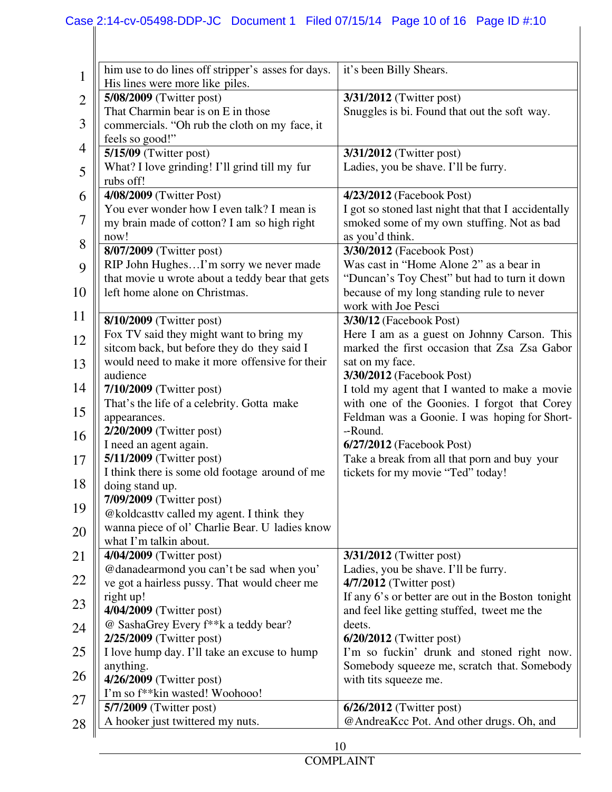## Case 2:14-cv-05498-DDP-JC Document 1 Filed 07/15/14 Page 10 of 16 Page ID #:10

| $\mathbf 1$    | him use to do lines off stripper's asses for days.<br>His lines were more like piles. | it's been Billy Shears.                             |  |  |
|----------------|---------------------------------------------------------------------------------------|-----------------------------------------------------|--|--|
| $\overline{2}$ | 5/08/2009 (Twitter post)                                                              | 3/31/2012 (Twitter post)                            |  |  |
|                | That Charmin bear is on E in those                                                    | Snuggles is bi. Found that out the soft way.        |  |  |
| 3              | commercials. "Oh rub the cloth on my face, it                                         |                                                     |  |  |
|                | feels so good!"                                                                       |                                                     |  |  |
| 4              | $5/15/09$ (Twitter post)                                                              | 3/31/2012 (Twitter post)                            |  |  |
|                | What? I love grinding! I'll grind till my fur                                         | Ladies, you be shave. I'll be furry.                |  |  |
| 5              | rubs off!                                                                             |                                                     |  |  |
| 6              | 4/08/2009 (Twitter Post)                                                              | 4/23/2012 (Facebook Post)                           |  |  |
|                | You ever wonder how I even talk? I mean is                                            | I got so stoned last night that that I accidentally |  |  |
| 7              | my brain made of cotton? I am so high right                                           | smoked some of my own stuffing. Not as bad          |  |  |
|                | now!                                                                                  | as you'd think.                                     |  |  |
| 8              | 8/07/2009 (Twitter post)                                                              | 3/30/2012 (Facebook Post)                           |  |  |
| 9              | RIP John HughesI'm sorry we never made                                                | Was cast in "Home Alone 2" as a bear in             |  |  |
|                | that movie u wrote about a teddy bear that gets                                       | "Duncan's Toy Chest" but had to turn it down        |  |  |
| 10             | left home alone on Christmas.                                                         | because of my long standing rule to never           |  |  |
|                |                                                                                       | work with Joe Pesci                                 |  |  |
| 11             | 8/10/2009 (Twitter post)                                                              | 3/30/12 (Facebook Post)                             |  |  |
| 12             | Fox TV said they might want to bring my                                               | Here I am as a guest on Johnny Carson. This         |  |  |
|                | sitcom back, but before they do they said I                                           | marked the first occasion that Zsa Zsa Gabor        |  |  |
| 13             | would need to make it more offensive for their                                        | sat on my face.                                     |  |  |
|                | audience                                                                              | 3/30/2012 (Facebook Post)                           |  |  |
| 14             | 7/10/2009 (Twitter post)                                                              | I told my agent that I wanted to make a movie       |  |  |
| 15             | That's the life of a celebrity. Gotta make                                            | with one of the Goonies. I forgot that Corey        |  |  |
|                | appearances.                                                                          | Feldman was a Goonie. I was hoping for Short-       |  |  |
| 16             | 2/20/2009 (Twitter post)                                                              | --Round.                                            |  |  |
|                | I need an agent again.                                                                | $6/27/2012$ (Facebook Post)                         |  |  |
| 17             | 5/11/2009 (Twitter post)                                                              | Take a break from all that porn and buy your        |  |  |
| 18             | I think there is some old footage around of me                                        | tickets for my movie "Ted" today!                   |  |  |
|                | doing stand up.                                                                       |                                                     |  |  |
| 19             | 7/09/2009 (Twitter post)<br>@koldcasttv called my agent. I think they                 |                                                     |  |  |
|                | wanna piece of ol' Charlie Bear. U ladies know                                        |                                                     |  |  |
| 20             | what I'm talkin about.                                                                |                                                     |  |  |
| 21             | 4/04/2009 (Twitter post)                                                              | 3/31/2012 (Twitter post)                            |  |  |
|                | @danadearmond you can't be sad when you'                                              | Ladies, you be shave. I'll be furry.                |  |  |
| 22             | ve got a hairless pussy. That would cheer me                                          | 4/7/2012 (Twitter post)                             |  |  |
|                | right up!                                                                             | If any 6's or better are out in the Boston tonight  |  |  |
| 23             | 4/04/2009 (Twitter post)                                                              | and feel like getting stuffed, tweet me the         |  |  |
| 24             | @ SashaGrey Every f**k a teddy bear?                                                  | deets.                                              |  |  |
|                | 2/25/2009 (Twitter post)                                                              | $6/20/2012$ (Twitter post)                          |  |  |
| 25             | I love hump day. I'll take an excuse to hump                                          | I'm so fuckin' drunk and stoned right now.          |  |  |
|                | anything.                                                                             | Somebody squeeze me, scratch that. Somebody         |  |  |
| 26             | 4/26/2009 (Twitter post)                                                              | with tits squeeze me.                               |  |  |
| 27             | I'm so f <sup>**</sup> kin wasted! Woohooo!                                           |                                                     |  |  |
|                | 5/7/2009 (Twitter post)                                                               | $6/26/2012$ (Twitter post)                          |  |  |
| 28             | A hooker just twittered my nuts.                                                      | @AndreaKcc Pot. And other drugs. Oh, and            |  |  |
|                |                                                                                       |                                                     |  |  |
|                |                                                                                       | 10                                                  |  |  |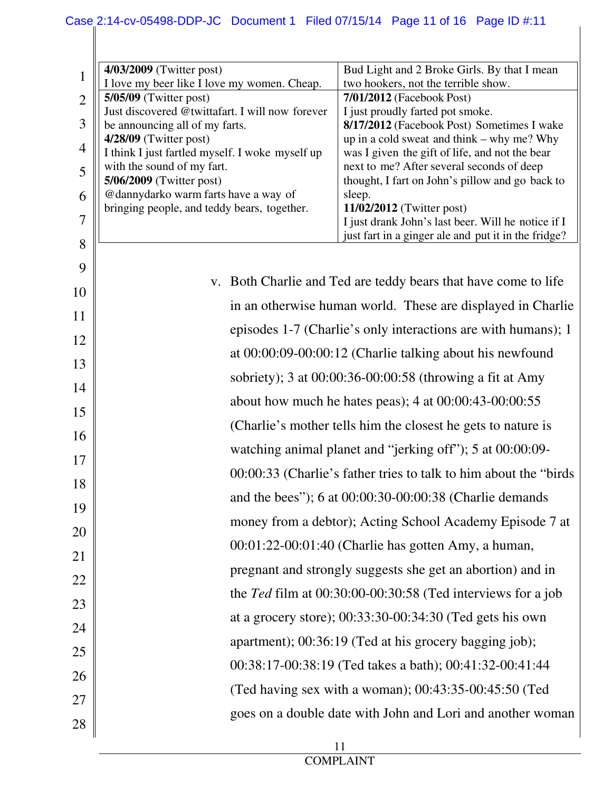| 1              | 4/03/2009 (Twitter post)                                                            | Bud Light and 2 Broke Girls. By that I mean<br>two hookers, not the terrible show. |  |  |  |  |
|----------------|-------------------------------------------------------------------------------------|------------------------------------------------------------------------------------|--|--|--|--|
|                | I love my beer like I love my women. Cheap.<br>$5/05/09$ (Twitter post)             | 7/01/2012 (Facebook Post)                                                          |  |  |  |  |
| $\overline{2}$ | Just discovered @twittafart. I will now forever                                     | I just proudly farted pot smoke.                                                   |  |  |  |  |
| 3              | be announcing all of my farts.                                                      | 8/17/2012 (Facebook Post) Sometimes I wake                                         |  |  |  |  |
|                | $4/28/09$ (Twitter post)                                                            | up in a cold sweat and think – why me? Why                                         |  |  |  |  |
| $\overline{4}$ | I think I just fartled myself. I woke myself up                                     | was I given the gift of life, and not the bear                                     |  |  |  |  |
| 5              | with the sound of my fart.                                                          | next to me? After several seconds of deep                                          |  |  |  |  |
|                | 5/06/2009 (Twitter post)                                                            | thought, I fart on John's pillow and go back to                                    |  |  |  |  |
| 6              | @dannydarko warm farts have a way of<br>bringing people, and teddy bears, together. | sleep.<br>11/02/2012 (Twitter post)                                                |  |  |  |  |
| $\overline{7}$ |                                                                                     | I just drank John's last beer. Will he notice if I                                 |  |  |  |  |
|                |                                                                                     | just fart in a ginger ale and put it in the fridge?                                |  |  |  |  |
| 8              |                                                                                     |                                                                                    |  |  |  |  |
| 9              |                                                                                     |                                                                                    |  |  |  |  |
| 10             |                                                                                     | v. Both Charlie and Ted are teddy bears that have come to life                     |  |  |  |  |
| 11             |                                                                                     | in an otherwise human world. These are displayed in Charlie                        |  |  |  |  |
|                | episodes 1-7 (Charlie's only interactions are with humans); 1                       |                                                                                    |  |  |  |  |
| 12             |                                                                                     |                                                                                    |  |  |  |  |
| 13             | at 00:00:09-00:00:12 (Charlie talking about his newfound                            |                                                                                    |  |  |  |  |
| 14             | sobriety); 3 at 00:00:36-00:00:58 (throwing a fit at Amy                            |                                                                                    |  |  |  |  |
| 15             | about how much he hates peas); $4$ at $00:00:43-00:00:55$                           |                                                                                    |  |  |  |  |
| 16             |                                                                                     | (Charlie's mother tells him the closest he gets to nature is                       |  |  |  |  |
| 17             | watching animal planet and "jerking off"); 5 at 00:00:09-                           |                                                                                    |  |  |  |  |
|                | 00:00:33 (Charlie's father tries to talk to him about the "birds"                   |                                                                                    |  |  |  |  |
| 18             | and the bees"); 6 at 00:00:30-00:00:38 (Charlie demands                             |                                                                                    |  |  |  |  |
| 19             |                                                                                     |                                                                                    |  |  |  |  |
| 20             | money from a debtor); Acting School Academy Episode 7 at                            |                                                                                    |  |  |  |  |
| 21             | 00:01:22-00:01:40 (Charlie has gotten Amy, a human,                                 |                                                                                    |  |  |  |  |
|                | pregnant and strongly suggests she get an abortion) and in                          |                                                                                    |  |  |  |  |
| 22             | the Ted film at 00:30:00-00:30:58 (Ted interviews for a job                         |                                                                                    |  |  |  |  |
| 23             |                                                                                     |                                                                                    |  |  |  |  |
| 24             | at a grocery store); $00:33:30-00:34:30$ (Ted gets his own                          |                                                                                    |  |  |  |  |
| 25             | apartment); 00:36:19 (Ted at his grocery bagging job);                              |                                                                                    |  |  |  |  |
| 26             |                                                                                     | 00:38:17-00:38:19 (Ted takes a bath); 00:41:32-00:41:44                            |  |  |  |  |
| 27             |                                                                                     | (Ted having sex with a woman); $00:43:35-00:45:50$ (Ted                            |  |  |  |  |
|                | goes on a double date with John and Lori and another woman                          |                                                                                    |  |  |  |  |
| 28             |                                                                                     |                                                                                    |  |  |  |  |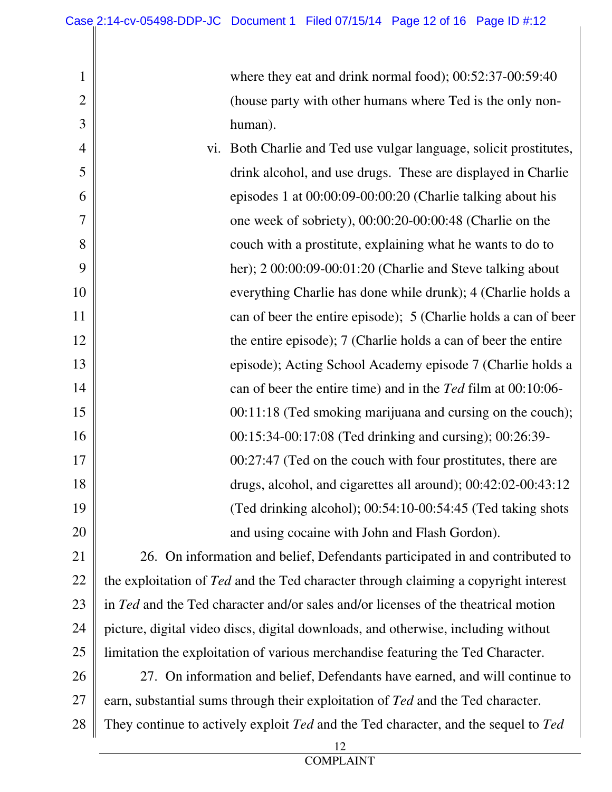1

2

3

4

5

6

7

8

9

10

11

12

13

14

15

17

18

19

20

where they eat and drink normal food); 00:52:37-00:59:40 (house party with other humans where Ted is the only nonhuman).

16 vi. Both Charlie and Ted use vulgar language, solicit prostitutes, drink alcohol, and use drugs. These are displayed in Charlie episodes 1 at 00:00:09-00:00:20 (Charlie talking about his one week of sobriety), 00:00:20-00:00:48 (Charlie on the couch with a prostitute, explaining what he wants to do to her); 2 00:00:09-00:01:20 (Charlie and Steve talking about everything Charlie has done while drunk); 4 (Charlie holds a can of beer the entire episode); 5 (Charlie holds a can of beer the entire episode); 7 (Charlie holds a can of beer the entire episode); Acting School Academy episode 7 (Charlie holds a can of beer the entire time) and in the *Ted* film at 00:10:06- 00:11:18 (Ted smoking marijuana and cursing on the couch); 00:15:34-00:17:08 (Ted drinking and cursing); 00:26:39- 00:27:47 (Ted on the couch with four prostitutes, there are drugs, alcohol, and cigarettes all around); 00:42:02-00:43:12 (Ted drinking alcohol); 00:54:10-00:54:45 (Ted taking shots and using cocaine with John and Flash Gordon).

21 22 23 24 25 26 26. On information and belief, Defendants participated in and contributed to the exploitation of *Ted* and the Ted character through claiming a copyright interest in *Ted* and the Ted character and/or sales and/or licenses of the theatrical motion picture, digital video discs, digital downloads, and otherwise, including without limitation the exploitation of various merchandise featuring the Ted Character. 27. On information and belief, Defendants have earned, and will continue to

27 earn, substantial sums through their exploitation of *Ted* and the Ted character.

28 They continue to actively exploit *Ted* and the Ted character, and the sequel to *Ted*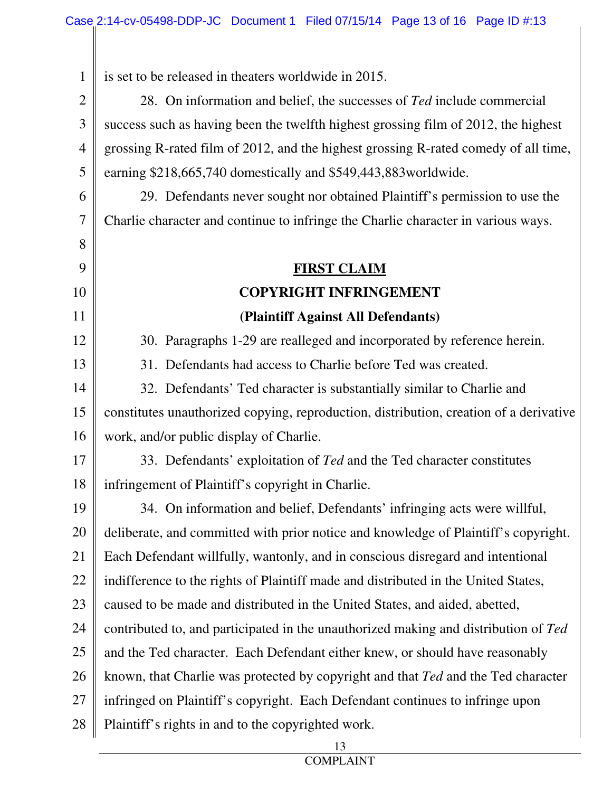1 is set to be released in theaters worldwide in 2015.

8

9

10

11

12

13

2 3 4 5 28. On information and belief, the successes of *Ted* include commercial success such as having been the twelfth highest grossing film of 2012, the highest grossing R-rated film of 2012, and the highest grossing R-rated comedy of all time, earning \$218,665,740 domestically and \$549,443,883worldwide.

6 7 29. Defendants never sought nor obtained Plaintiff's permission to use the Charlie character and continue to infringe the Charlie character in various ways.

## **FIRST CLAIM COPYRIGHT INFRINGEMENT (Plaintiff Against All Defendants)**

30. Paragraphs 1-29 are realleged and incorporated by reference herein.

31. Defendants had access to Charlie before Ted was created.

14 15 16 32. Defendants' Ted character is substantially similar to Charlie and constitutes unauthorized copying, reproduction, distribution, creation of a derivative work, and/or public display of Charlie.

17 18 33. Defendants' exploitation of *Ted* and the Ted character constitutes infringement of Plaintiff's copyright in Charlie.

19 20 21 22 23 24 25 26 27 28 34. On information and belief, Defendants' infringing acts were willful, deliberate, and committed with prior notice and knowledge of Plaintiff's copyright. Each Defendant willfully, wantonly, and in conscious disregard and intentional indifference to the rights of Plaintiff made and distributed in the United States, caused to be made and distributed in the United States, and aided, abetted, contributed to, and participated in the unauthorized making and distribution of *Ted* and the Ted character. Each Defendant either knew, or should have reasonably known, that Charlie was protected by copyright and that *Ted* and the Ted character infringed on Plaintiff's copyright. Each Defendant continues to infringe upon Plaintiff's rights in and to the copyrighted work.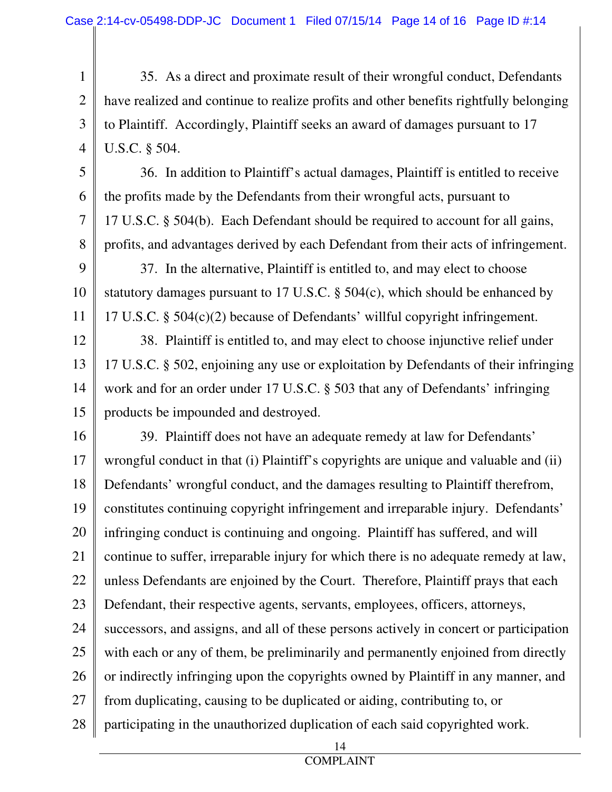1 2 3 4 35. As a direct and proximate result of their wrongful conduct, Defendants have realized and continue to realize profits and other benefits rightfully belonging to Plaintiff. Accordingly, Plaintiff seeks an award of damages pursuant to 17 U.S.C. § 504.

5 6 7 8 36. In addition to Plaintiff's actual damages, Plaintiff is entitled to receive the profits made by the Defendants from their wrongful acts, pursuant to 17 U.S.C. § 504(b). Each Defendant should be required to account for all gains, profits, and advantages derived by each Defendant from their acts of infringement.

9 10 11 37. In the alternative, Plaintiff is entitled to, and may elect to choose statutory damages pursuant to 17 U.S.C. § 504(c), which should be enhanced by 17 U.S.C. § 504(c)(2) because of Defendants' willful copyright infringement.

12 13 14 15 38. Plaintiff is entitled to, and may elect to choose injunctive relief under 17 U.S.C. § 502, enjoining any use or exploitation by Defendants of their infringing work and for an order under 17 U.S.C. § 503 that any of Defendants' infringing products be impounded and destroyed.

16 17 18 19 20 21 22 23 24 25 26 27 28 39. Plaintiff does not have an adequate remedy at law for Defendants' wrongful conduct in that (i) Plaintiff's copyrights are unique and valuable and (ii) Defendants' wrongful conduct, and the damages resulting to Plaintiff therefrom, constitutes continuing copyright infringement and irreparable injury. Defendants' infringing conduct is continuing and ongoing. Plaintiff has suffered, and will continue to suffer, irreparable injury for which there is no adequate remedy at law, unless Defendants are enjoined by the Court. Therefore, Plaintiff prays that each Defendant, their respective agents, servants, employees, officers, attorneys, successors, and assigns, and all of these persons actively in concert or participation with each or any of them, be preliminarily and permanently enjoined from directly or indirectly infringing upon the copyrights owned by Plaintiff in any manner, and from duplicating, causing to be duplicated or aiding, contributing to, or participating in the unauthorized duplication of each said copyrighted work.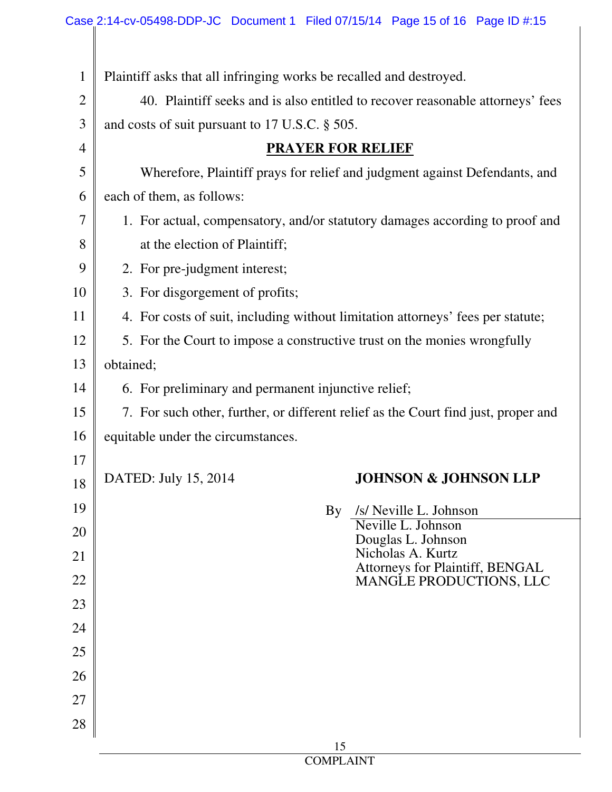| $\mathbf{1}$   | Plaintiff asks that all infringing works be recalled and destroyed.                |  |  |  |
|----------------|------------------------------------------------------------------------------------|--|--|--|
| $\overline{2}$ | 40. Plaintiff seeks and is also entitled to recover reasonable attorneys' fees     |  |  |  |
| 3              | and costs of suit pursuant to 17 U.S.C. § 505.                                     |  |  |  |
| $\overline{4}$ | <b>PRAYER FOR RELIEF</b>                                                           |  |  |  |
| 5              | Wherefore, Plaintiff prays for relief and judgment against Defendants, and         |  |  |  |
| 6              | each of them, as follows:                                                          |  |  |  |
| 7              | 1. For actual, compensatory, and/or statutory damages according to proof and       |  |  |  |
| 8              | at the election of Plaintiff;                                                      |  |  |  |
| 9              | 2. For pre-judgment interest;                                                      |  |  |  |
| 10             | 3. For disgorgement of profits;                                                    |  |  |  |
| 11             | 4. For costs of suit, including without limitation attorneys' fees per statute;    |  |  |  |
| 12             | 5. For the Court to impose a constructive trust on the monies wrongfully           |  |  |  |
| 13             | obtained;                                                                          |  |  |  |
| 14             | 6. For preliminary and permanent injunctive relief;                                |  |  |  |
| 15             | 7. For such other, further, or different relief as the Court find just, proper and |  |  |  |
| 16             | equitable under the circumstances.                                                 |  |  |  |
| 17             |                                                                                    |  |  |  |
| 18             | DATED: July 15, 2014<br><b>JOHNSON &amp; JOHNSON LLP</b>                           |  |  |  |
| 19             | By<br>/s/ Neville L. Johnson                                                       |  |  |  |
| 20             | Neville L. Johnson<br>Douglas L. Johnson                                           |  |  |  |
| 21             | Nicholas A. Kurtz<br>Attorneys for Plaintiff, BENGAL                               |  |  |  |
| 22             | MANGLE PRODUCTIONS, LLC                                                            |  |  |  |
| 23             |                                                                                    |  |  |  |
| 24             |                                                                                    |  |  |  |
| 25             |                                                                                    |  |  |  |
| 26             |                                                                                    |  |  |  |
| 27             |                                                                                    |  |  |  |
| 28             |                                                                                    |  |  |  |
|                | 15                                                                                 |  |  |  |